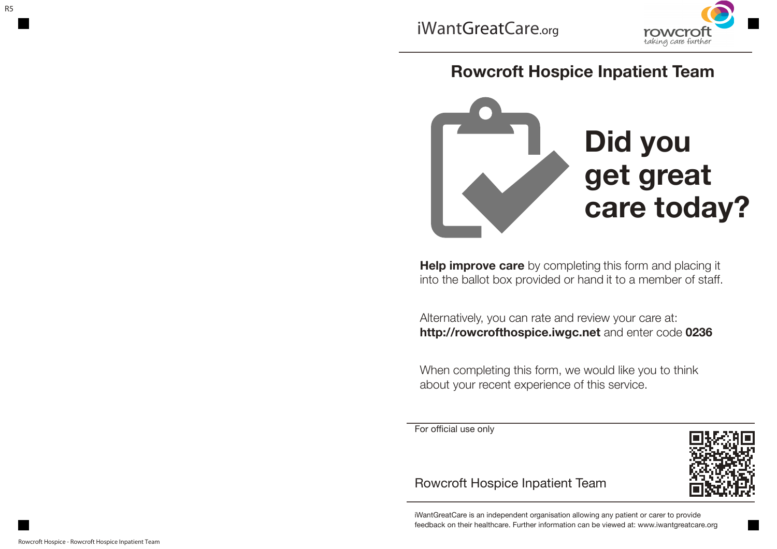

## **Rowcroft Hospice Inpatient Team**



**Help improve care** by completing this form and placing it into the ballot box provided or hand it to a member of staff.

Alternatively, you can rate and review your care at: **http://rowcrofthospice.iwgc.net** and enter code **0236**

When completing this form, we would like you to think about your recent experience of this service.

For official use only



## Rowcroft Hospice Inpatient Team

iWantGreatCare is an independent organisation allowing any patient or carer to provide feedback on their healthcare. Further information can be viewed at: www.iwantgreatcare.org